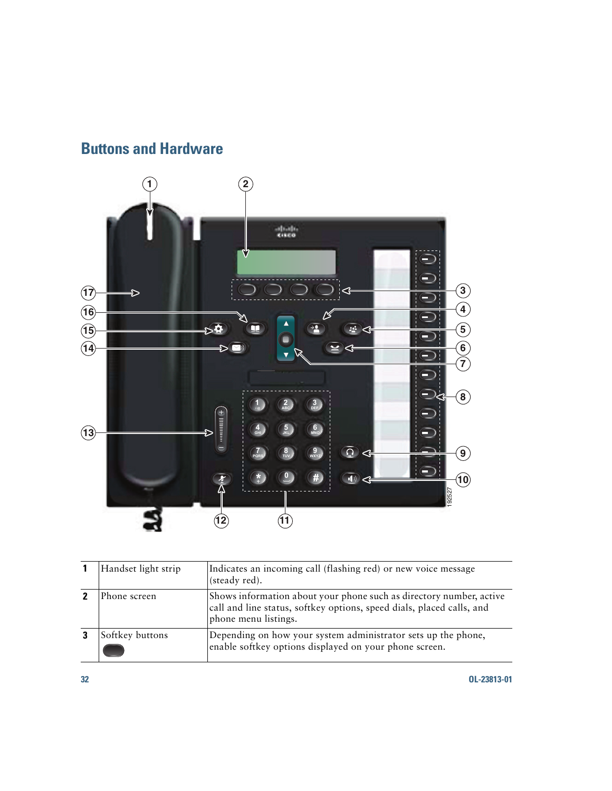## **Buttons and Hardware**



| Handset light strip | Indicates an incoming call (flashing red) or new voice message<br>(steady red).                                                                                      |
|---------------------|----------------------------------------------------------------------------------------------------------------------------------------------------------------------|
| Phone screen        | Shows information about your phone such as directory number, active<br>call and line status, softkey options, speed dials, placed calls, and<br>phone menu listings. |
| Softkey buttons     | Depending on how your system administrator sets up the phone,<br>enable softkey options displayed on your phone screen.                                              |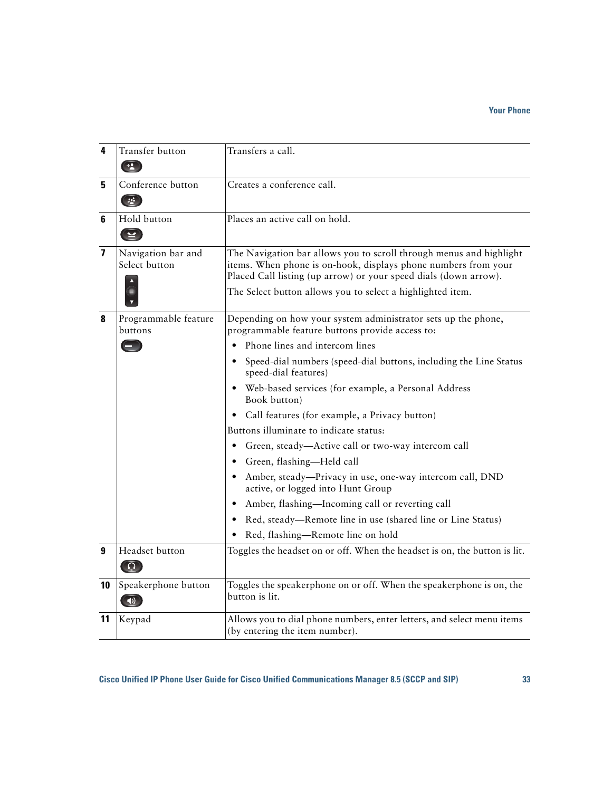| 4                       | Transfer button<br>$(\rightarrow \bullet)$                          | Transfers a call.                                                                                                                                                                                                                                                       |
|-------------------------|---------------------------------------------------------------------|-------------------------------------------------------------------------------------------------------------------------------------------------------------------------------------------------------------------------------------------------------------------------|
| 5                       | Conference button<br>$\begin{pmatrix} 1 & 1 \\ 1 & 1 \end{pmatrix}$ | Creates a conference call.                                                                                                                                                                                                                                              |
| 6                       | Hold button<br>$\bigcirc$                                           | Places an active call on hold.                                                                                                                                                                                                                                          |
| $\overline{\mathbf{z}}$ | Navigation bar and<br>Select button                                 | The Navigation bar allows you to scroll through menus and highlight<br>items. When phone is on-hook, displays phone numbers from your<br>Placed Call listing (up arrow) or your speed dials (down arrow).<br>The Select button allows you to select a highlighted item. |
| 8                       | Programmable feature<br>buttons                                     | Depending on how your system administrator sets up the phone,<br>programmable feature buttons provide access to:                                                                                                                                                        |
|                         | $\blacksquare$                                                      | Phone lines and intercom lines                                                                                                                                                                                                                                          |
|                         |                                                                     | Speed-dial numbers (speed-dial buttons, including the Line Status<br>speed-dial features)                                                                                                                                                                               |
|                         |                                                                     | Web-based services (for example, a Personal Address<br>$\bullet$<br>Book button)                                                                                                                                                                                        |
|                         |                                                                     | Call features (for example, a Privacy button)<br>$\bullet$                                                                                                                                                                                                              |
|                         |                                                                     | Buttons illuminate to indicate status:                                                                                                                                                                                                                                  |
|                         |                                                                     | Green, steady-Active call or two-way intercom call<br>٠                                                                                                                                                                                                                 |
|                         |                                                                     | Green, flashing-Held call                                                                                                                                                                                                                                               |
|                         |                                                                     | Amber, steady-Privacy in use, one-way intercom call, DND<br>active, or logged into Hunt Group                                                                                                                                                                           |
|                         |                                                                     | Amber, flashing-Incoming call or reverting call<br>$\bullet$                                                                                                                                                                                                            |
|                         |                                                                     | Red, steady-Remote line in use (shared line or Line Status)                                                                                                                                                                                                             |
|                         |                                                                     | Red, flashing-Remote line on hold                                                                                                                                                                                                                                       |
| 9                       | Headset button<br>$\Omega$                                          | Toggles the headset on or off. When the headset is on, the button is lit.                                                                                                                                                                                               |
| 10                      | Speakerphone button<br>$\left  \downarrow \right\rangle$            | Toggles the speakerphone on or off. When the speakerphone is on, the<br>button is lit.                                                                                                                                                                                  |
| 11                      | Keypad                                                              | Allows you to dial phone numbers, enter letters, and select menu items<br>(by entering the item number).                                                                                                                                                                |